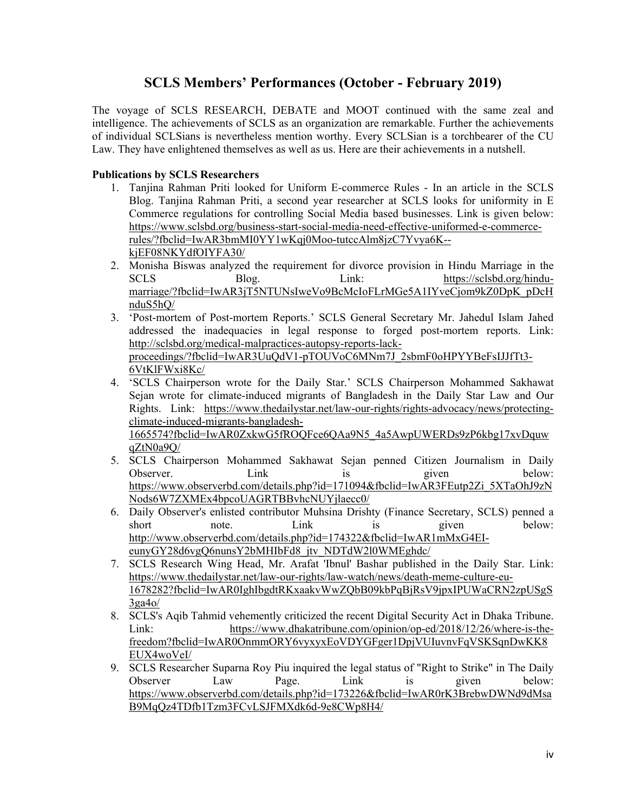# **SCLS Members' Performances (October - February 2019)**

The voyage of SCLS RESEARCH, DEBATE and MOOT continued with the same zeal and intelligence. The achievements of SCLS as an organization are remarkable. Further the achievements of individual SCLSians is nevertheless mention worthy. Every SCLSian is a torchbearer of the CU Law. They have enlightened themselves as well as us. Here are their achievements in a nutshell.

### **Publications by SCLS Researchers**

- 1. Tanjina Rahman Priti looked for Uniform E-commerce Rules In an article in the SCLS Blog. Tanjina Rahman Priti, a second year researcher at SCLS looks for uniformity in E Commerce regulations for controlling Social Media based businesses. Link is given below: https://www.sclsbd.org/business-start-social-media-need-effective-uniformed-e-commercerules/?fbclid=IwAR3bmMI0YY1wKqj0Moo-tutccAlm8jzC7Yvya6K- kjEF08NKYdfOIYFA30/
- 2. Monisha Biswas analyzed the requirement for divorce provision in Hindu Marriage in the SCLS Blog. Link: https://sclsbd.org/hindumarriage/?fbclid=IwAR3jT5NTUNsIweVo9BcMcIoFLrMGe5A1IYveCjom9kZ0DpK\_pDcH nduS5hQ/
- 3. 'Post-mortem of Post-mortem Reports.' SCLS General Secretary Mr. Jahedul Islam Jahed addressed the inadequacies in legal response to forged post-mortem reports. Link: http://sclsbd.org/medical-malpractices-autopsy-reports-lackproceedings/?fbclid=IwAR3UuQdV1-pTOUVoC6MNm7J\_2sbmF0oHPYYBeFsIJJfTt3- 6VtKlFWxi8Kc/
- 4. 'SCLS Chairperson wrote for the Daily Star.' SCLS Chairperson Mohammed Sakhawat Sejan wrote for climate-induced migrants of Bangladesh in the Daily Star Law and Our Rights. Link: https://www.thedailystar.net/law-our-rights/rights-advocacy/news/protectingclimate-induced-migrants-bangladesh-1665574?fbclid=IwAR0ZxkwG5fROQFce6QAa9N5\_4a5AwpUWERDs9zP6kbg17xvDquw

qZtN0a9Q/

- 5. SCLS Chairperson Mohammed Sakhawat Sejan penned Citizen Journalism in Daily Observer. Link is given below: https://www.observerbd.com/details.php?id=171094&fbclid=IwAR3FEutp2Zi\_5XTaOhJ9zN Nods6W7ZXMEx4bpcoUAGRTBBvhcNUYjlaecc0/
- 6. Daily Observer's enlisted contributor Muhsina Drishty (Finance Secretary, SCLS) penned a short note. Link is given below: http://www.observerbd.com/details.php?id=174322&fbclid=IwAR1mMxG4EIeunyGY28d6vgQ6nunsY2bMHIbFd8\_jtv\_NDTdW2l0WMEghdc/
- 7. SCLS Research Wing Head, Mr. Arafat 'Ibnul' Bashar published in the Daily Star. Link: https://www.thedailystar.net/law-our-rights/law-watch/news/death-meme-culture-eu-1678282?fbclid=IwAR0IghIbgdtRKxaakvWwZQbB09kbPqBjRsV9jpxIPUWaCRN2zpUSgS 3ga4o/
- 8. SCLS's Aqib Tahmid vehemently criticized the recent Digital Security Act in Dhaka Tribune. Link: https://www.dhakatribune.com/opinion/op-ed/2018/12/26/where-is-thefreedom?fbclid=IwAR0OnmmORY6vyxyxEoVDYGFger1DpjVUIuvnvFqVSKSqnDwKK8 EUX4woVeI/
- 9. SCLS Researcher Suparna Roy Piu inquired the legal status of "Right to Strike" in The Daily Observer Law Page. Link is given below: https://www.observerbd.com/details.php?id=173226&fbclid=IwAR0rK3BrebwDWNd9dMsa B9MqQz4TDfb1Tzm3FCvLSJFMXdk6d-9e8CWp8H4/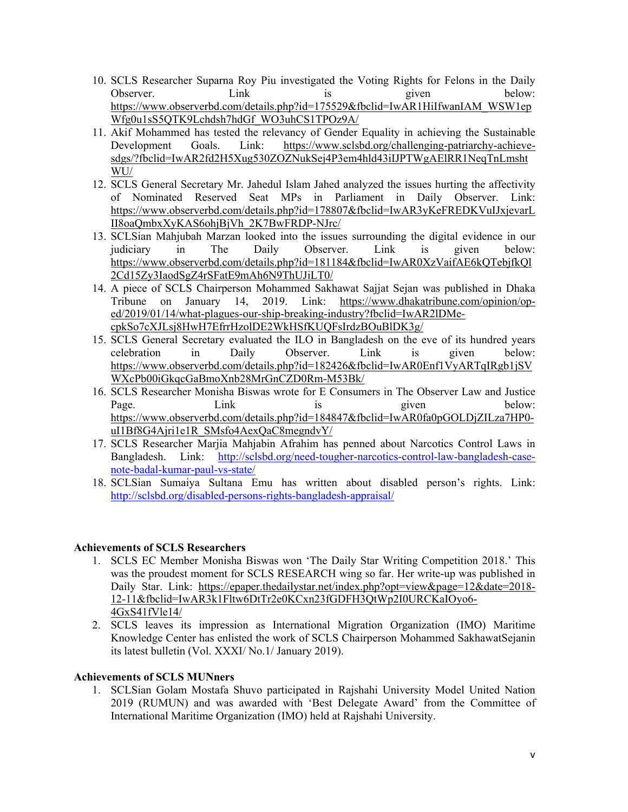- 10. SCLS Researcher Suparna Roy Piu investigated the Voting Rights for Felons in the Daily Observer. Link is given below: https://www.observerbd.com/details.php?id=175529&fbclid=IwAR1HiIfwanIAM\_WSW1ep Wfg0u1sS5QTK9Lchdsh7hdGf\_WO3uhCS1TPOz9A/
- 11. Akif Mohammed has tested the relevancy of Gender Equality in achieving the Sustainable Development Goals. Link: https://www.sclsbd.org/challenging-patriarchy-achievesdgs/?fbclid=IwAR2fd2H5Xug530ZOZNukSej4P3em4hld43iIJPTWgAElRR1NeqTnLmsht WU/
- 12. SCLS General Secretary Mr. Jahedul Islam Jahed analyzed the issues hurting the affectivity of Nominated Reserved Seat MPs in Parliament in Daily Observer. Link: https://www.observerbd.com/details.php?id=178807&fbclid=IwAR3yKeFREDKVuIJxjevarL II8oaQmbxXyKAS6ohjBjVh\_2K7BwFRDP-NJrc/
- 13. SCLSian Mahjubah Marzan looked into the issues surrounding the digital evidence in our judiciary in The Daily Observer. Link is given below: https://www.observerbd.com/details.php?id=181184&fbclid=IwAR0XzVaifAE6kQTebjfkQl 2Cd15Zy3IaodSgZ4rSFatE9mAh6N9ThUJiLT0/
- 14. A piece of SCLS Chairperson Mohammed Sakhawat Sajjat Sejan was published in Dhaka Tribune on January 14, 2019. Link: https://www.dhakatribune.com/opinion/oped/2019/01/14/what-plagues-our-ship-breaking-industry?fbclid=IwAR2lDMecpkSo7cXJLsj8HwH7EfrrHzolDE2WkHSfKUQFsIrdzBOuBlDK3g/
- 15. SCLS General Secretary evaluated the ILO in Bangladesh on the eve of its hundred years celebration in Daily Observer. Link is given below: https://www.observerbd.com/details.php?id=182426&fbclid=IwAR0Enf1VyARTqIRgb1jSV WXcPb00iGkqcGaBmoXnb28MrGnCZD0Rm-M53Bk/
- 16. SCLS Researcher Monisha Biswas wrote for E Consumers in The Observer Law and Justice Page. Link is given below: https://www.observerbd.com/details.php?id=184847&fbclid=IwAR0fa0pGOLDjZILza7HP0 uI1Bf8G4Ajri1e1R\_SMsfo4AexQaC8megndvY/
- 17. SCLS Researcher Marjia Mahjabin Afrahim has penned about Narcotics Control Laws in Bangladesh. Link: http://sclsbd.org/need-tougher-narcotics-control-law-bangladesh-casenote-badal-kumar-paul-vs-state/
- 18. SCLSian Sumaiya Sultana Emu has written about disabled person's rights. Link: http://sclsbd.org/disabled-persons-rights-bangladesh-appraisal/

## **Achievements of SCLS Researchers**

- 1. SCLS EC Member Monisha Biswas won 'The Daily Star Writing Competition 2018.' This was the proudest moment for SCLS RESEARCH wing so far. Her write-up was published in Daily Star. Link: https://epaper.thedailystar.net/index.php?opt=view&page=12&date=2018- 12-11&fbclid=IwAR3k1Fltw6DtTr2e0KCxn23fGDFH3QtWp2I0URCKaIOyo6- 4GxS41fVle14/
- 2. SCLS leaves its impression as International Migration Organization (IMO) Maritime Knowledge Center has enlisted the work of SCLS Chairperson Mohammed SakhawatSejanin its latest bulletin (Vol. XXXI/ No.1/ January 2019).

#### **Achievements of SCLS MUNners**

1. SCLSian Golam Mostafa Shuvo participated in Rajshahi University Model United Nation 2019 (RUMUN) and was awarded with 'Best Delegate Award' from the Committee of International Maritime Organization (IMO) held at Rajshahi University.